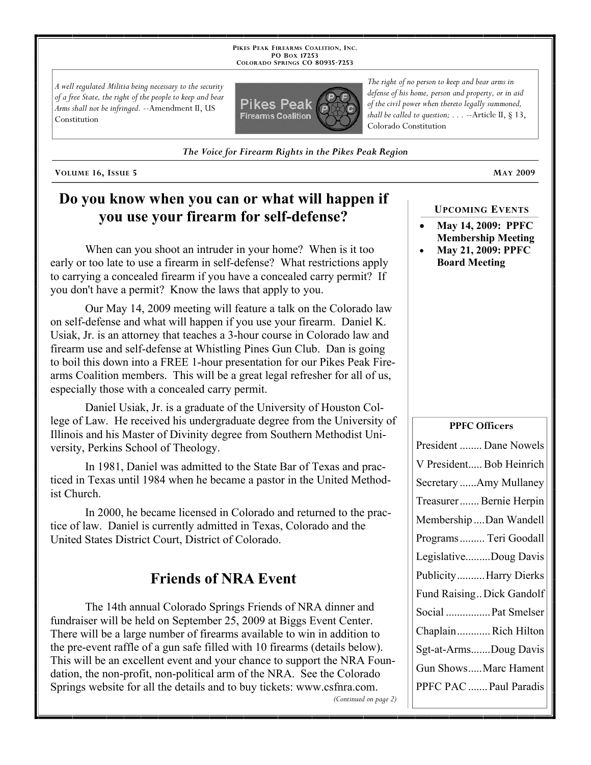**PIKES PEAK FIREARMS COALITION, INC. PO BOX 17253 COLORADO SPRINGS CO 80935 -7253**

*A well regulated Militia being necessary to the security of a free State, the right of the people to keep and bear Arms shall not be infringed.* --Amendment II, US Constitution



*The Voice for Firearm Rights in the Pikes Peak Region*

**VOLUME 16, ISSUE 5 MAY 2009**

# **Do you know when you can or what will happen if you use your firearm for self-defense?**

When can you shoot an intruder in your home? When is it too early or too late to use a firearm in self-defense? What restrictions apply to carrying a concealed firearm if you have a concealed carry permit? If you don't have a permit? Know the laws that apply to you.

Our May 14, 2009 meeting will feature a talk on the Colorado law on self-defense and what will happen if you use your firearm. Daniel K. Usiak, Jr. is an attorney that teaches a 3-hour course in Colorado law and firearm use and self-defense at Whistling Pines Gun Club. Dan is going to boil this down into a FREE 1-hour presentation for our Pikes Peak Firearms Coalition members. This will be a great legal refresher for all of us, especially those with a concealed carry permit.

Daniel Usiak, Jr. is a graduate of the University of Houston College of Law. He received his undergraduate degree from the University of Illinois and his Master of Divinity degree from Southern Methodist University, Perkins School of Theology.

In 1981, Daniel was admitted to the State Bar of Texas and practiced in Texas until 1984 when he became a pastor in the United Methodist Church.

In 2000, he became licensed in Colorado and returned to the practice of law. Daniel is currently admitted in Texas, Colorado and the United States District Court, District of Colorado.

## **Friends of NRA Event**

The 14th annual Colorado Springs Friends of NRA dinner and fundraiser will be held on September 25, 2009 at Biggs Event Center. There will be a large number of firearms available to win in addition to the pre-event raffle of a gun safe filled with 10 firearms (details below). This will be an excellent event and your chance to support the NRA Foundation, the non-profit, non-political arm of the NRA. See the Colorado Springs website for all the details and to buy tickets: www.csfnra.com. *(Continued on page 2)*

*The right of no person to keep and bear arms in defense of his home, person and property, or in aid of the civil power when thereto legally summoned, shall be called to question; . . .* --Article II, § 13, Colorado Constitution

**UPCOMING EVENTS**

- **May 14, 2009: PPFC Membership Meeting**
- **May 21, 2009: PPFC Board Meeting**

#### **PPFC Officers**

| President  Dane Nowels    |
|---------------------------|
| V President Bob Heinrich  |
| Secretary Amy Mullaney    |
| Treasurer Bernie Herpin   |
| MembershipDan Wandell     |
| Programs  Teri Goodall    |
| LegislativeDoug Davis     |
| PublicityHarry Dierks     |
| Fund Raising Dick Gandolf |
| Social  Pat Smelser       |
| ChaplainRich Hilton       |
| Sgt-at-ArmsDoug Davis     |
| Gun ShowsMarc Hament      |
| PPFC PAC  Paul Paradis    |